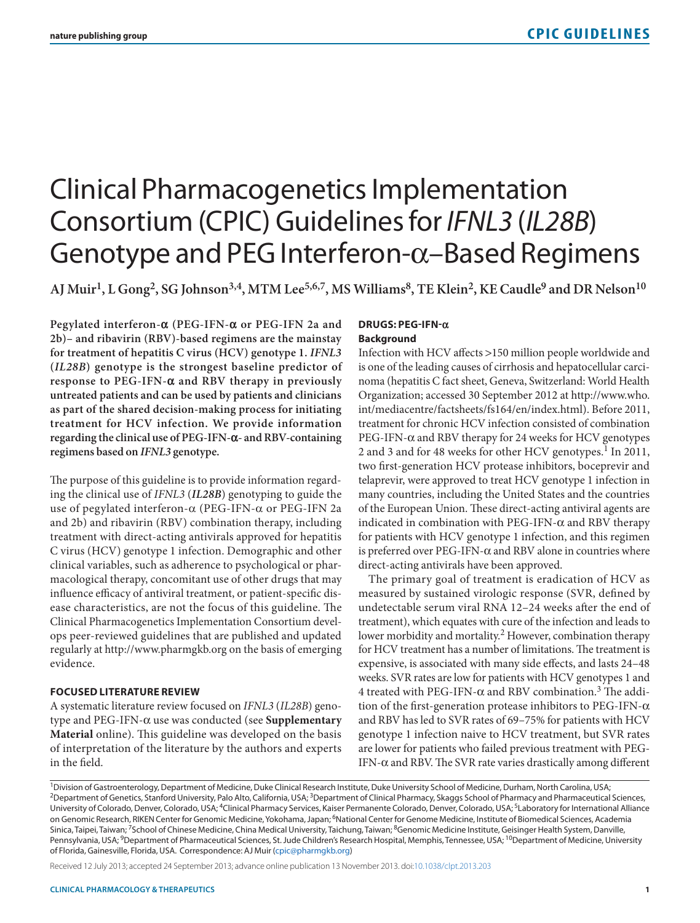# Clinical Pharmacogenetics Implementation Consortium (CPIC) Guidelines for *IFNL3* (*IL28B*) Genotype and PEG Interferon-α–Based Regimens

**AJ Muir1, L Gong2, SG Johnson3,4, MTM Lee5,6,7, MS Williams8, TE Klein2, KE Caudle9 and DR Nelson10**

**Pegylated interferon-α (PEG-IFN-α or PEG-IFN 2a and 2b)– and ribavirin (RBV)-based regimens are the mainstay for treatment of hepatitis C virus (HCV) genotype 1.** *IFNL3* **(***IL28B***) genotype is the strongest baseline predictor of response to PEG-IFN-α and RBV therapy in previously untreated patients and can be used by patients and clinicians as part of the shared decision-making process for initiating treatment for HCV infection. We provide information regarding the clinical use of PEG-IFN-α- and RBV-containing regimens based on** *IFNL3* **genotype.**

The purpose of this guideline is to provide information regarding the clinical use of *IFNL3* (*IL28B*) genotyping to guide the use of pegylated interferon-α (PEG-IFN-α or PEG-IFN 2a and 2b) and ribavirin (RBV) combination therapy, including treatment with direct-acting antivirals approved for hepatitis C virus (HCV) genotype 1 infection. Demographic and other clinical variables, such as adherence to psychological or pharmacological therapy, concomitant use of other drugs that may influence efficacy of antiviral treatment, or patient-specific disease characteristics, are not the focus of this guideline. The Clinical Pharmacogenetics Implementation Consortium develops peer-reviewed guidelines that are published and updated regularly at<http://www.pharmgkb.org> on the basis of emerging evidence.

#### **FOCUSED LITERATURE REVIEW**

A systematic literature review focused on *IFNL3* (*IL28B*) genotype and PEG-IFN-α use was conducted (see **Supplementary Material** online). This guideline was developed on the basis of interpretation of the literature by the authors and experts in the field.

#### **DRUGS: PEG-IFN-α Background**

Infection with HCV affects >150 million people worldwide and is one of the leading causes of cirrhosis and hepatocellular carcinoma (hepatitis C fact sheet, Geneva, Switzerland: World Health Organization; accessed 30 September 2012 at [http://www.who.](http://www.who.int/mediacentre/factsheets/fs164/en/index.html) [int/mediacentre/factsheets/fs164/en/index.html](http://www.who.int/mediacentre/factsheets/fs164/en/index.html)). Before 2011, treatment for chronic HCV infection consisted of combination PEG-IFN-α and RBV therapy for 24 weeks for HCV genotypes 2 and 3 and for 48 weeks for other HCV genotypes.<sup>1</sup> In 2011, two first-generation HCV protease inhibitors, boceprevir and telaprevir, were approved to treat HCV genotype 1 infection in many countries, including the United States and the countries of the European Union. These direct-acting antiviral agents are indicated in combination with PEG-IFN- $\alpha$  and RBV therapy for patients with HCV genotype 1 infection, and this regimen is preferred over PEG-IFN- $\alpha$  and RBV alone in countries where direct-acting antivirals have been approved.

The primary goal of treatment is eradication of HCV as measured by sustained virologic response (SVR, defined by undetectable serum viral RNA 12–24 weeks after the end of treatment), which equates with cure of the infection and leads to lower morbidity and mortality.<sup>2</sup> However, combination therapy for HCV treatment has a number of limitations. The treatment is expensive, is associated with many side effects, and lasts 24–48 weeks. SVR rates are low for patients with HCV genotypes 1 and 4 treated with PEG-IFN- $\alpha$  and RBV combination.<sup>3</sup> The addition of the first-generation protease inhibitors to PEG-IFN-α and RBV has led to SVR rates of 69–75% for patients with HCV genotype 1 infection naive to HCV treatment, but SVR rates are lower for patients who failed previous treatment with PEG-IFN-α and RBV. The SVR rate varies drastically among different

Received 12 July 2013; accepted 24 September 2013; advance online publication 13 November 2013. doi[:10.1038/clpt.2013.203](http://www.nature.com/doifinder/10.1038/clpt.2013.203)

<sup>&</sup>lt;sup>1</sup>Division of Gastroenterology, Department of Medicine, Duke Clinical Research Institute, Duke University School of Medicine, Durham, North Carolina, USA; <sup>2</sup>Department of Genetics, Stanford University, Palo Alto, California, USA; <sup>3</sup>Department of Clinical Pharmacy, Skaggs School of Pharmacy and Pharmaceutical Sciences, University of Colorado, Denver, Colorado, USA; <sup>4</sup>Clinical Pharmacy Services, Kaiser Permanente Colorado, Denver, Colorado, USA; <sup>5</sup>Laboratory for International Alliance on Genomic Research, RIKEN Center for Genomic Medicine, Yokohama, Japan; <sup>6</sup>National Center for Genome Medicine, Institute of Biomedical Sciences, Academia Sinica, Taipei, Taiwan; <sup>7</sup>School of Chinese Medicine, China Medical University, Taichung, Taiwan; <sup>8</sup>Genomic Medicine Institute, Geisinger Health System, Danville, Pennsylvania, USA; <sup>9</sup>Department of Pharmaceutical Sciences, St. Jude Children's Research Hospital, Memphis, Tennessee, USA; <sup>10</sup>Department of Medicine, University of Florida, Gainesville, Florida, USA. Correspondence: AJ Muir ([cpic@pharmgkb.org\)](mailto:cpic@pharmgkb.org)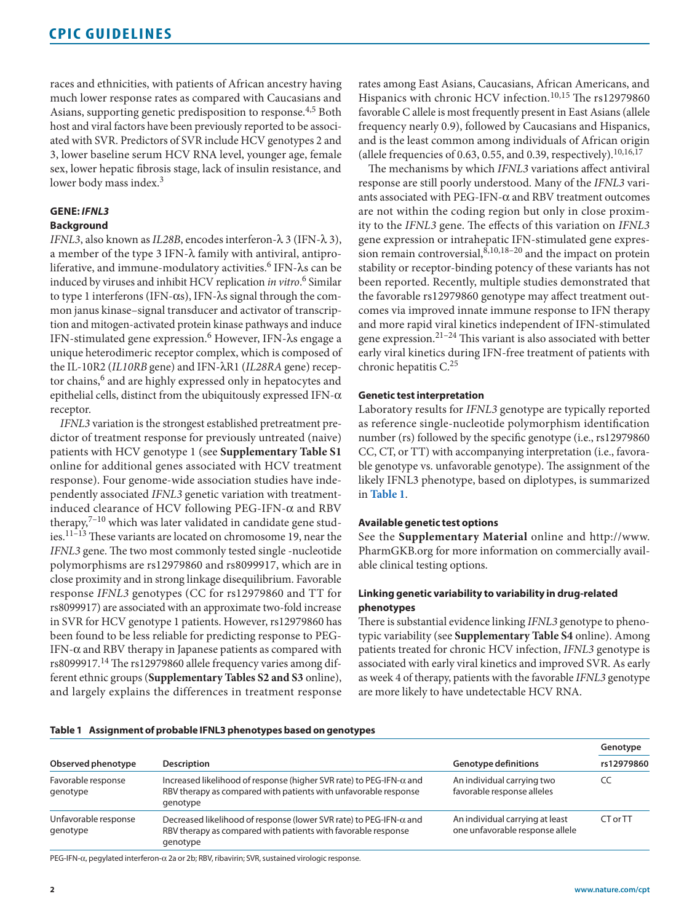races and ethnicities, with patients of African ancestry having much lower response rates as compared with Caucasians and Asians, supporting genetic predisposition to response.4,5 Both host and viral factors have been previously reported to be associated with SVR. Predictors of SVR include HCV genotypes 2 and 3, lower baseline serum HCV RNA level, younger age, female sex, lower hepatic fibrosis stage, lack of insulin resistance, and lower body mass index.<sup>3</sup>

## **GENE:** *IFNL3*

## **Background**

*IFNL3*, also known as *IL28B*, encodes interferon-λ 3 (IFN-λ 3), a member of the type 3 IFN-λ family with antiviral, antiproliferative, and immune-modulatory activities.<sup>6</sup> IFN- $\lambda$ s can be induced by viruses and inhibit HCV replication *in vitro*. 6 Similar to type 1 interferons (IFN-αs), IFN-λs signal through the common janus kinase–signal transducer and activator of transcription and mitogen-activated protein kinase pathways and induce IFN-stimulated gene expression.<sup>6</sup> However, IFN-λs engage a unique heterodimeric receptor complex, which is composed of the IL-10R2 (*IL10RB* gene) and IFN-λR1 (*IL28RA* gene) receptor chains,<sup>6</sup> and are highly expressed only in hepatocytes and epithelial cells, distinct from the ubiquitously expressed IFN- $\alpha$ receptor.

*IFNL3* variation is the strongest established pretreatment predictor of treatment response for previously untreated (naive) patients with HCV genotype 1 (see **Supplementary Table S1** online for additional genes associated with HCV treatment response). Four genome-wide association studies have independently associated *IFNL3* genetic variation with treatmentinduced clearance of HCV following PEG-IFN-α and RBV therapy, $7-10$  which was later validated in candidate gene studies.11–13 These variants are located on chromosome 19, near the *IFNL3* gene. The two most commonly tested single -nucleotide polymorphisms are rs12979860 and rs8099917, which are in close proximity and in strong linkage disequilibrium. Favorable response *IFNL3* genotypes (CC for rs12979860 and TT for rs8099917) are associated with an approximate two-fold increase in SVR for HCV genotype 1 patients. However, rs12979860 has been found to be less reliable for predicting response to PEG-IFN-α and RBV therapy in Japanese patients as compared with rs8099917.<sup>14</sup> The rs12979860 allele frequency varies among different ethnic groups (**Supplementary Tables S2 and S3** online), and largely explains the differences in treatment response rates among East Asians, Caucasians, African Americans, and Hispanics with chronic HCV infection.<sup>10,15</sup> The rs12979860 favorable C allele is most frequently present in East Asians (allele frequency nearly 0.9), followed by Caucasians and Hispanics, and is the least common among individuals of African origin (allele frequencies of 0.63, 0.55, and 0.39, respectively).  $10,16,17$ 

The mechanisms by which *IFNL3* variations affect antiviral response are still poorly understood. Many of the *IFNL3* variants associated with PEG-IFN- $\alpha$  and RBV treatment outcomes are not within the coding region but only in close proximity to the *IFNL3* gene. The effects of this variation on *IFNL3* gene expression or intrahepatic IFN-stimulated gene expression remain controversial, $8,10,18-20$  and the impact on protein stability or receptor-binding potency of these variants has not been reported. Recently, multiple studies demonstrated that the favorable rs12979860 genotype may affect treatment outcomes via improved innate immune response to IFN therapy and more rapid viral kinetics independent of IFN-stimulated gene expression. $2^{1-24}$  This variant is also associated with better early viral kinetics during IFN-free treatment of patients with chronic hepatitis C.<sup>25</sup>

### **Genetic test interpretation**

Laboratory results for *IFNL3* genotype are typically reported as reference single-nucleotide polymorphism identification number (rs) followed by the specific genotype (i.e., rs12979860 CC, CT, or TT) with accompanying interpretation (i.e., favorable genotype vs. unfavorable genotype). The assignment of the likely IFNL3 phenotype, based on diplotypes, is summarized in **[Table 1](#page-1-0)**.

## **Available genetic test options**

See the **Supplementary Material** online and [http://www.](http://www.PharmGKB.org) [PharmGKB.org](http://www.PharmGKB.org) for more information on commercially available clinical testing options.

## **Linking genetic variability to variability in drug-related phenotypes**

There is substantial evidence linking *IFNL3* genotype to phenotypic variability (see **Supplementary Table S4** online). Among patients treated for chronic HCV infection, *IFNL3* genotype is associated with early viral kinetics and improved SVR. As early as week 4 of therapy, patients with the favorable *IFNL3* genotype are more likely to have undetectable HCV RNA.

#### <span id="page-1-0"></span>**Table 1 Assignment of probable IFNL3 phenotypes based on genotypes**

|                                  |                                                                                                                                                            |                                                                    | Genotype   |
|----------------------------------|------------------------------------------------------------------------------------------------------------------------------------------------------------|--------------------------------------------------------------------|------------|
| Observed phenotype               | <b>Description</b>                                                                                                                                         | <b>Genotype definitions</b>                                        | rs12979860 |
| Favorable response<br>genotype   | Increased likelihood of response (higher SVR rate) to PEG-IFN- $\alpha$ and<br>RBV therapy as compared with patients with unfavorable response<br>genotype | An individual carrying two<br>favorable response alleles           | CC         |
| Unfavorable response<br>genotype | Decreased likelihood of response (lower SVR rate) to PEG-IFN- $\alpha$ and<br>RBV therapy as compared with patients with favorable response<br>genotype    | An individual carrying at least<br>one unfavorable response allele | CT or TT   |

PEG-IFN-α, pegylated interferon-α 2a or 2b; RBV, ribavirin; SVR, sustained virologic response.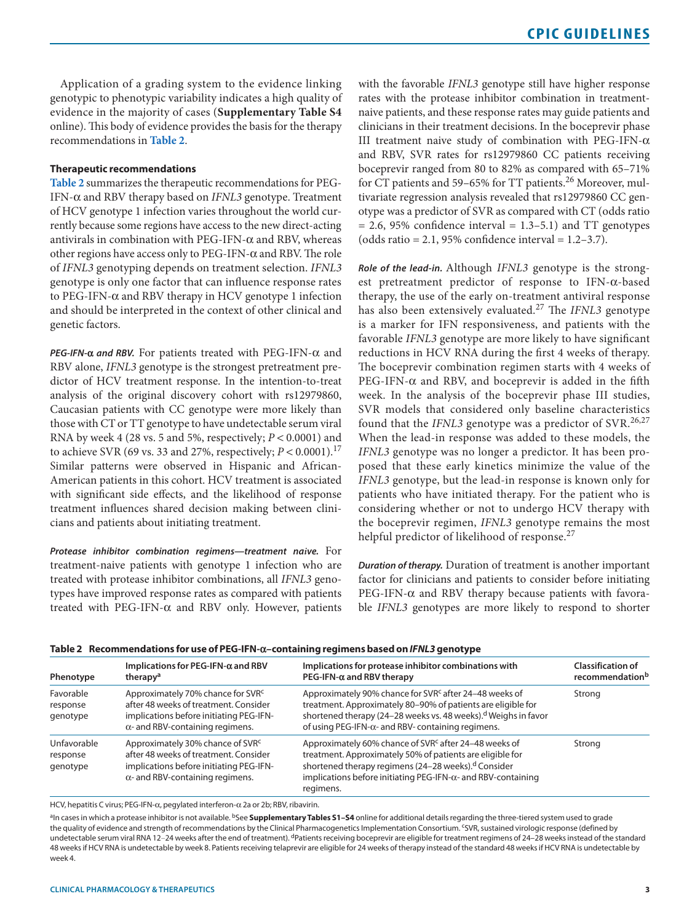Application of a grading system to the evidence linking genotypic to phenotypic variability indicates a high quality of evidence in the majority of cases (**Supplementary Table S4** online). This body of evidence provides the basis for the therapy recommendations in **[Table 2](#page-2-0)**.

#### **Therapeutic recommendations**

**[Table 2](#page-2-0)** summarizes the therapeutic recommendations for PEG-IFN-α and RBV therapy based on *IFNL3* genotype. Treatment of HCV genotype 1 infection varies throughout the world currently because some regions have access to the new direct-acting antivirals in combination with PEG-IFN- $\alpha$  and RBV, whereas other regions have access only to PEG-IFN-α and RBV. The role of *IFNL3* genotyping depends on treatment selection. *IFNL3* genotype is only one factor that can influence response rates to PEG-IFN-α and RBV therapy in HCV genotype 1 infection and should be interpreted in the context of other clinical and genetic factors.

*PEG-IFN-***α** *and RBV.* For patients treated with PEG-IFN-α and RBV alone, *IFNL3* genotype is the strongest pretreatment predictor of HCV treatment response. In the intention-to-treat analysis of the original discovery cohort with rs12979860, Caucasian patients with CC genotype were more likely than those with CT or TT genotype to have undetectable serum viral RNA by week 4 (28 vs. 5 and 5%, respectively; *P* < 0.0001) and to achieve SVR (69 vs. 33 and 27%, respectively;  $P < 0.0001$ ).<sup>17</sup> Similar patterns were observed in Hispanic and African-American patients in this cohort. HCV treatment is associated with significant side effects, and the likelihood of response treatment influences shared decision making between clinicians and patients about initiating treatment.

*Protease inhibitor combination regimens—treatment naive.* For treatment-naive patients with genotype 1 infection who are treated with protease inhibitor combinations, all *IFNL3* genotypes have improved response rates as compared with patients treated with PEG-IFN- $\alpha$  and RBV only. However, patients with the favorable *IFNL3* genotype still have higher response rates with the protease inhibitor combination in treatmentnaive patients, and these response rates may guide patients and clinicians in their treatment decisions. In the boceprevir phase III treatment naive study of combination with PEG-IFN-α and RBV, SVR rates for rs12979860 CC patients receiving boceprevir ranged from 80 to 82% as compared with 65–71% for CT patients and 59–65% for TT patients.<sup>26</sup> Moreover, multivariate regression analysis revealed that rs12979860 CC genotype was a predictor of SVR as compared with CT (odds ratio  $= 2.6$ , 95% confidence interval  $= 1.3-5.1$ ) and TT genotypes (odds ratio = 2.1, 95% confidence interval =  $1.2-3.7$ ).

*Role of the lead-in.* Although *IFNL3* genotype is the strongest pretreatment predictor of response to IFN-α-based therapy, the use of the early on-treatment antiviral response has also been extensively evaluated.27 The *IFNL3* genotype is a marker for IFN responsiveness, and patients with the favorable *IFNL3* genotype are more likely to have significant reductions in HCV RNA during the first 4 weeks of therapy. The boceprevir combination regimen starts with 4 weeks of PEG-IFN- $\alpha$  and RBV, and boceprevir is added in the fifth week. In the analysis of the boceprevir phase III studies, SVR models that considered only baseline characteristics found that the *IFNL3* genotype was a predictor of SVR.<sup>26,27</sup> When the lead-in response was added to these models, the *IFNL3* genotype was no longer a predictor. It has been proposed that these early kinetics minimize the value of the *IFNL3* genotype, but the lead-in response is known only for patients who have initiated therapy. For the patient who is considering whether or not to undergo HCV therapy with the boceprevir regimen, *IFNL3* genotype remains the most helpful predictor of likelihood of response.<sup>27</sup>

*Duration of therapy.* Duration of treatment is another important factor for clinicians and patients to consider before initiating PEG-IFN- $\alpha$  and RBV therapy because patients with favorable *IFNL3* genotypes are more likely to respond to shorter

<span id="page-2-0"></span>

|  | Table 2 Recommendations for use of PEG-IFN- $\alpha$ –containing regimens based on IFNL3 genotype |  |  |  |
|--|---------------------------------------------------------------------------------------------------|--|--|--|
|--|---------------------------------------------------------------------------------------------------|--|--|--|

| Phenotype                           | Implications for PEG-IFN- $\alpha$ and RBV<br>therapy <sup>a</sup>                                                                                                          | Implications for protease inhibitor combinations with<br>$PEG-IFN-\alpha$ and RBV therapy                                                                                                                                                                                               | <b>Classification of</b><br>recommendationb |  |  |
|-------------------------------------|-----------------------------------------------------------------------------------------------------------------------------------------------------------------------------|-----------------------------------------------------------------------------------------------------------------------------------------------------------------------------------------------------------------------------------------------------------------------------------------|---------------------------------------------|--|--|
| Favorable<br>response<br>genotype   | Approximately 70% chance for SVRC<br>after 48 weeks of treatment. Consider<br>implications before initiating PEG-IFN-<br>$\alpha$ - and RBV-containing regimens.            | Approximately 90% chance for SVR <sup>c</sup> after 24–48 weeks of<br>treatment. Approximately 80-90% of patients are eligible for<br>shortened therapy (24–28 weeks vs. 48 weeks). <sup>d</sup> Weighs in favor<br>of using PEG-IFN- $\alpha$ - and RBV- containing regimens.          | Strong                                      |  |  |
| Unfavorable<br>response<br>genotype | Approximately 30% chance of SVR <sup>c</sup><br>after 48 weeks of treatment. Consider<br>implications before initiating PEG-IFN-<br>$\alpha$ - and RBV-containing regimens. | Approximately 60% chance of SVR <sup>c</sup> after 24–48 weeks of<br>treatment. Approximately 50% of patients are eligible for<br>shortened therapy regimens (24–28 weeks). <sup>d</sup> Consider<br>implications before initiating PEG-IFN- $\alpha$ - and RBV-containing<br>regimens. | Strong                                      |  |  |

HCV, hepatitis C virus; PEG-IFN-α, pegylated interferon-α 2a or 2b; RBV, ribavirin.

a<sub>In cases in which a protease inhibitor is not available. <sup>b</sup>See **Supplementary Tables S1-S4** online for additional details regarding the three-tiered system used to grade</sub> the quality of evidence and strength of recommendations by the Clinical Pharmacogenetics Implementation Consortium. cSVR, sustained virologic response (defined by undetectable serum viral RNA 12-24 weeks after the end of treatment). <sup>d</sup>Patients receiving boceprevir are eligible for treatment regimens of 24-28 weeks instead of the standard 48 weeks if HCV RNA is undetectable by week 8. Patients receiving telaprevir are eligible for 24 weeks of therapy instead of the standard 48 weeks if HCV RNA is undetectable by week 4.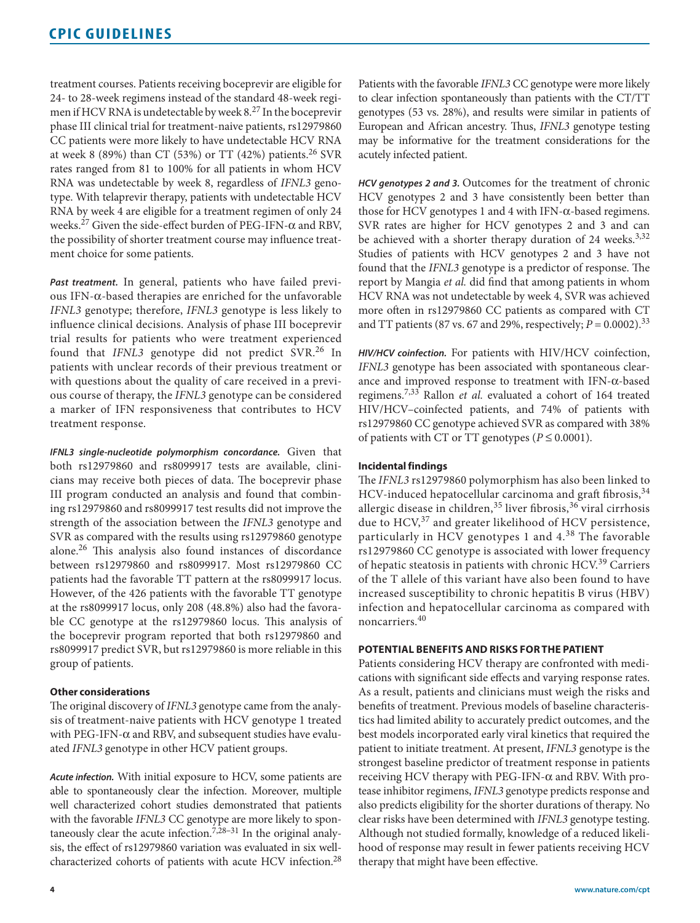treatment courses. Patients receiving boceprevir are eligible for 24- to 28-week regimens instead of the standard 48-week regimen if HCV RNA is undetectable by week 8.27 In the boceprevir phase III clinical trial for treatment-naive patients, rs12979860 CC patients were more likely to have undetectable HCV RNA at week 8 (89%) than CT (53%) or TT (42%) patients.<sup>26</sup> SVR rates ranged from 81 to 100% for all patients in whom HCV RNA was undetectable by week 8, regardless of *IFNL3* genotype. With telaprevir therapy, patients with undetectable HCV RNA by week 4 are eligible for a treatment regimen of only 24 weeks.27 Given the side-effect burden of PEG-IFN-α and RBV, the possibility of shorter treatment course may influence treatment choice for some patients.

*Past treatment.* In general, patients who have failed previous IFN-α-based therapies are enriched for the unfavorable *IFNL3* genotype; therefore, *IFNL3* genotype is less likely to influence clinical decisions. Analysis of phase III boceprevir trial results for patients who were treatment experienced found that *IFNL3* genotype did not predict SVR.<sup>26</sup> In patients with unclear records of their previous treatment or with questions about the quality of care received in a previous course of therapy, the *IFNL3* genotype can be considered a marker of IFN responsiveness that contributes to HCV treatment response.

*IFNL3 single-nucleotide polymorphism concordance.* Given that both rs12979860 and rs8099917 tests are available, clinicians may receive both pieces of data. The boceprevir phase III program conducted an analysis and found that combining rs12979860 and rs8099917 test results did not improve the strength of the association between the *IFNL3* genotype and SVR as compared with the results using rs12979860 genotype alone.26 This analysis also found instances of discordance between rs12979860 and rs8099917. Most rs12979860 CC patients had the favorable TT pattern at the rs8099917 locus. However, of the 426 patients with the favorable TT genotype at the rs8099917 locus, only 208 (48.8%) also had the favorable CC genotype at the rs12979860 locus. This analysis of the boceprevir program reported that both rs12979860 and rs8099917 predict SVR, but rs12979860 is more reliable in this group of patients.

## **Other considerations**

The original discovery of *IFNL3* genotype came from the analysis of treatment-naive patients with HCV genotype 1 treated with PEG-IFN- $\alpha$  and RBV, and subsequent studies have evaluated *IFNL3* genotype in other HCV patient groups.

*Acute infection.* With initial exposure to HCV, some patients are able to spontaneously clear the infection. Moreover, multiple well characterized cohort studies demonstrated that patients with the favorable *IFNL3* CC genotype are more likely to spontaneously clear the acute infection.<sup>7,28-31</sup> In the original analysis, the effect of rs12979860 variation was evaluated in six wellcharacterized cohorts of patients with acute HCV infection.<sup>28</sup>

Patients with the favorable *IFNL3* CC genotype were more likely to clear infection spontaneously than patients with the CT/TT genotypes (53 vs. 28%), and results were similar in patients of European and African ancestry. Thus, *IFNL3* genotype testing may be informative for the treatment considerations for the acutely infected patient.

*HCV genotypes 2 and 3.* Outcomes for the treatment of chronic HCV genotypes 2 and 3 have consistently been better than those for HCV genotypes 1 and 4 with IFN-α-based regimens. SVR rates are higher for HCV genotypes 2 and 3 and can be achieved with a shorter therapy duration of 24 weeks.<sup>3,32</sup> Studies of patients with HCV genotypes 2 and 3 have not found that the *IFNL3* genotype is a predictor of response. The report by Mangia *et al.* did find that among patients in whom HCV RNA was not undetectable by week 4, SVR was achieved more often in rs12979860 CC patients as compared with CT and TT patients (87 vs. 67 and 29%, respectively;  $P = 0.0002$ ).<sup>33</sup>

*HIV/HCV coinfection.* For patients with HIV/HCV coinfection, *IFNL3* genotype has been associated with spontaneous clearance and improved response to treatment with IFN-α-based regimens.7,33 Rallon *et al.* evaluated a cohort of 164 treated HIV/HCV–coinfected patients, and 74% of patients with rs12979860 CC genotype achieved SVR as compared with 38% of patients with CT or TT genotypes ( $P \le 0.0001$ ).

#### **Incidental findings**

The *IFNL3* rs12979860 polymorphism has also been linked to HCV-induced hepatocellular carcinoma and graft fibrosis, 34 allergic disease in children,<sup>35</sup> liver fibrosis,<sup>36</sup> viral cirrhosis due to HCV,<sup>37</sup> and greater likelihood of HCV persistence, particularly in HCV genotypes 1 and 4.<sup>38</sup> The favorable rs12979860 CC genotype is associated with lower frequency of hepatic steatosis in patients with chronic HCV.<sup>39</sup> Carriers of the T allele of this variant have also been found to have increased susceptibility to chronic hepatitis B virus (HBV) infection and hepatocellular carcinoma as compared with noncarriers.<sup>40</sup>

#### **POTENTIAL BENEFITS AND RISKS FOR THE PATIENT**

Patients considering HCV therapy are confronted with medications with significant side effects and varying response rates. As a result, patients and clinicians must weigh the risks and benefits of treatment. Previous models of baseline characteristics had limited ability to accurately predict outcomes, and the best models incorporated early viral kinetics that required the patient to initiate treatment. At present, *IFNL3* genotype is the strongest baseline predictor of treatment response in patients receiving HCV therapy with PEG-IFN- $\alpha$  and RBV. With protease inhibitor regimens, *IFNL3* genotype predicts response and also predicts eligibility for the shorter durations of therapy. No clear risks have been determined with *IFNL3* genotype testing. Although not studied formally, knowledge of a reduced likelihood of response may result in fewer patients receiving HCV therapy that might have been effective.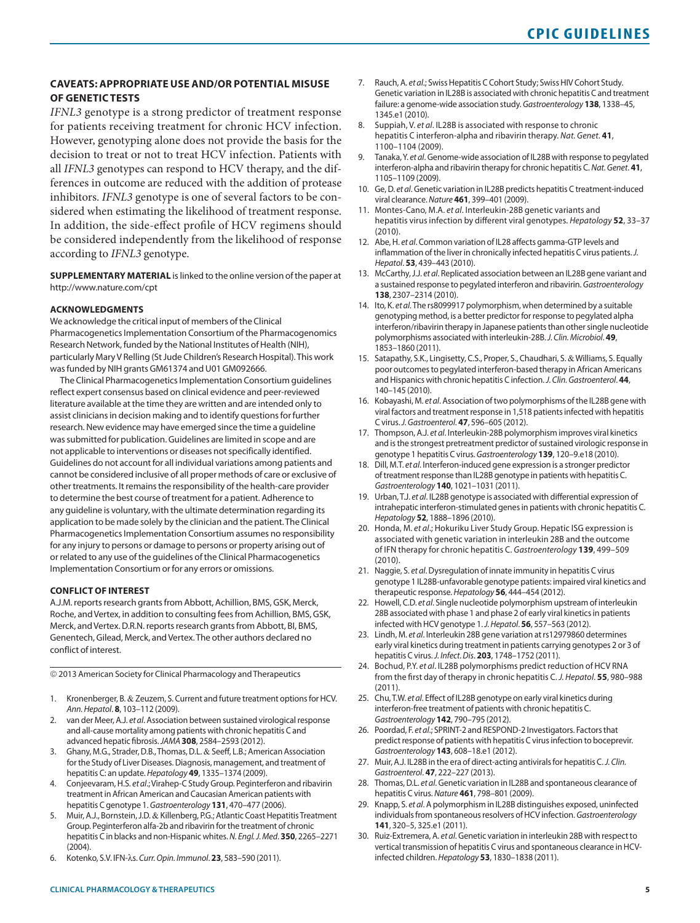## **CAVEATS: APPROPRIATE USE AND/OR POTENTIAL MISUSE OF GENETIC TESTS**

*IFNL3* genotype is a strong predictor of treatment response for patients receiving treatment for chronic HCV infection. However, genotyping alone does not provide the basis for the decision to treat or not to treat HCV infection. Patients with all *IFNL3* genotypes can respond to HCV therapy, and the differences in outcome are reduced with the addition of protease inhibitors. *IFNL3* genotype is one of several factors to be considered when estimating the likelihood of treatment response. In addition, the side-effect profile of HCV regimens should be considered independently from the likelihood of response according to *IFNL3* genotype.

**SUPPLEMENTARY MATERIAL** is linked to the online version of the paper at <http://www.nature.com/cpt>

#### **ACKNOWLEDGMENTS**

We acknowledge the critical input of members of the Clinical Pharmacogenetics Implementation Consortium of the Pharmacogenomics Research Network, funded by the National Institutes of Health (NIH), particularly Mary V Relling (St Jude Children's Research Hospital). This work was funded by NIH grants GM61374 and U01 GM092666.

The Clinical Pharmacogenetics Implementation Consortium guidelines reflect expert consensus based on clinical evidence and peer-reviewed literature available at the time they are written and are intended only to assist clinicians in decision making and to identify questions for further research. New evidence may have emerged since the time a guideline was submitted for publication. Guidelines are limited in scope and are not applicable to interventions or diseases not specifically identified. Guidelines do not account for all individual variations among patients and cannot be considered inclusive of all proper methods of care or exclusive of other treatments. It remains the responsibility of the health-care provider to determine the best course of treatment for a patient. Adherence to any guideline is voluntary, with the ultimate determination regarding its application to be made solely by the clinician and the patient. The Clinical Pharmacogenetics Implementation Consortium assumes no responsibility for any injury to persons or damage to persons or property arising out of or related to any use of the guidelines of the Clinical Pharmacogenetics Implementation Consortium or for any errors or omissions.

#### **CONFLICT OF INTEREST**

A.J.M. reports research grants from Abbott, Achillion, BMS, GSK, Merck, Roche, and Vertex, in addition to consulting fees from Achillion, BMS, GSK, Merck, and Vertex. D.R.N. reports research grants from Abbott, BI, BMS, Genentech, Gilead, Merck, and Vertex. The other authors declared no conflict of interest.

© 2013 American Society for Clinical Pharmacology and Therapeutics

- 1. Kronenberger, B. & Zeuzem, S. Current and future treatment options for HCV. *Ann. Hepatol*. **8**, 103–112 (2009).
- 2. van der Meer, A.J. *et al*. Association between sustained virological response and all-cause mortality among patients with chronic hepatitis C and advanced hepatic fibrosis. *JAMA* **308**, 2584–2593 (2012).
- 3. Ghany, M.G., Strader, D.B., Thomas, D.L. & Seeff, L.B.; American Association for the Study of Liver Diseases. Diagnosis, management, and treatment of hepatitis C: an update. *Hepatology* **49**, 1335–1374 (2009).
- 4. Conjeevaram, H.S. *et al*.; Virahep-C Study Group. Peginterferon and ribavirin treatment in African American and Caucasian American patients with hepatitis C genotype 1. *Gastroenterology* **131**, 470–477 (2006).
- 5. Muir, A.J., Bornstein, J.D. & Killenberg, P.G.; Atlantic Coast Hepatitis Treatment Group. Peginterferon alfa-2b and ribavirin for the treatment of chronic hepatitis C in blacks and non-Hispanic whites. *N. Engl. J. Med*. **350**, 2265–2271 (2004).
- 6. Kotenko, S.V. IFN-λs. *Curr. Opin. Immunol*. **23**, 583–590 (2011).
- 7. Rauch, A. *et al*.; Swiss Hepatitis C Cohort Study; Swiss HIV Cohort Study. Genetic variation in IL28B is associated with chronic hepatitis C and treatment failure: a genome-wide association study. *Gastroenterology* **138**, 1338–45, 1345.e1 (2010).
- 8. Suppiah, V. *et al*. IL28B is associated with response to chronic hepatitis C interferon-alpha and ribavirin therapy. *Nat. Genet*. **41**, 1100–1104 (2009).
- 9. Tanaka, Y. *et al*. Genome-wide association of IL28B with response to pegylated interferon-alpha and ribavirin therapy for chronic hepatitis C. *Nat. Genet*. **41**, 1105–1109 (2009).
- 10. Ge, D. *et al*. Genetic variation in IL28B predicts hepatitis C treatment-induced viral clearance. *Nature* **461**, 399–401 (2009).
- 11. Montes-Cano, M.A. *et al*. Interleukin-28B genetic variants and hepatitis virus infection by different viral genotypes. *Hepatology* **52**, 33–37 (2010).
- 12. Abe, H. *et al*. Common variation of IL28 affects gamma-GTP levels and inflammation of the liver in chronically infected hepatitis C virus patients. *J. Hepatol*. **53**, 439–443 (2010).
- 13. McCarthy, J.J. *et al*. Replicated association between an IL28B gene variant and a sustained response to pegylated interferon and ribavirin. *Gastroenterology* **138**, 2307–2314 (2010).
- 14. Ito, K. *et al*. The rs8099917 polymorphism, when determined by a suitable genotyping method, is a better predictor for response to pegylated alpha interferon/ribavirin therapy in Japanese patients than other single nucleotide polymorphisms associated with interleukin-28B. *J. Clin. Microbiol*. **49**, 1853–1860 (2011).
- 15. Satapathy, S.K., Lingisetty, C.S., Proper, S., Chaudhari, S. & Williams, S. Equally poor outcomes to pegylated interferon-based therapy in African Americans and Hispanics with chronic hepatitis C infection. *J. Clin. Gastroenterol*. **44**, 140–145 (2010).
- 16. Kobayashi, M. *et al*. Association of two polymorphisms of the IL28B gene with viral factors and treatment response in 1,518 patients infected with hepatitis C virus. *J. Gastroenterol*. **47**, 596–605 (2012).
- 17. Thompson, A.J. *et al*. Interleukin-28B polymorphism improves viral kinetics and is the strongest pretreatment predictor of sustained virologic response in genotype 1 hepatitis C virus. *Gastroenterology* **139**, 120–9.e18 (2010).
- 18. Dill, M.T. *et al*. Interferon-induced gene expression is a stronger predictor of treatment response than IL28B genotype in patients with hepatitis C. *Gastroenterology* **140**, 1021–1031 (2011).
- 19. Urban, T.J. *et al*. IL28B genotype is associated with differential expression of intrahepatic interferon-stimulated genes in patients with chronic hepatitis C. *Hepatology* **52**, 1888–1896 (2010).
- 20. Honda, M. *et al*.; Hokuriku Liver Study Group. Hepatic ISG expression is associated with genetic variation in interleukin 28B and the outcome of IFN therapy for chronic hepatitis C. *Gastroenterology* **139**, 499–509 (2010).
- 21. Naggie, S. *et al*. Dysregulation of innate immunity in hepatitis C virus genotype 1 IL28B-unfavorable genotype patients: impaired viral kinetics and therapeutic response. *Hepatology* **56**, 444–454 (2012).
- 22. Howell, C.D. *et al*. Single nucleotide polymorphism upstream of interleukin 28B associated with phase 1 and phase 2 of early viral kinetics in patients infected with HCV genotype 1. *J. Hepatol*. **56**, 557–563 (2012).
- 23. Lindh, M. *et al*. Interleukin 28B gene variation at rs12979860 determines early viral kinetics during treatment in patients carrying genotypes 2 or 3 of hepatitis C virus. *J. Infect. Dis*. **203**, 1748–1752 (2011).
- 24. Bochud, P.Y. *et al*. IL28B polymorphisms predict reduction of HCV RNA from the first day of therapy in chronic hepatitis C. *J. Hepatol*. **55**, 980–988 (2011).
- 25. Chu, T.W. *et al*. Effect of IL28B genotype on early viral kinetics during interferon-free treatment of patients with chronic hepatitis C. *Gastroenterology* **142**, 790–795 (2012).
- 26. Poordad, F. *et al*.; SPRINT-2 and RESPOND-2 Investigators. Factors that predict response of patients with hepatitis C virus infection to boceprevir. *Gastroenterology* **143**, 608–18.e1 (2012).
- 27. Muir, A.J. IL28B in the era of direct-acting antivirals for hepatitis C. *J. Clin. Gastroenterol*. **47**, 222–227 (2013).
- 28. Thomas, D.L. *et al*. Genetic variation in IL28B and spontaneous clearance of hepatitis C virus. *Nature* **461**, 798–801 (2009).
- 29. Knapp, S. *et al*. A polymorphism in IL28B distinguishes exposed, uninfected individuals from spontaneous resolvers of HCV infection. *Gastroenterology* **141**, 320–5, 325.e1 (2011).
- 30. Ruiz-Extremera, A. *et al*. Genetic variation in interleukin 28B with respect to vertical transmission of hepatitis C virus and spontaneous clearance in HCVinfected children. *Hepatology* **53**, 1830–1838 (2011).